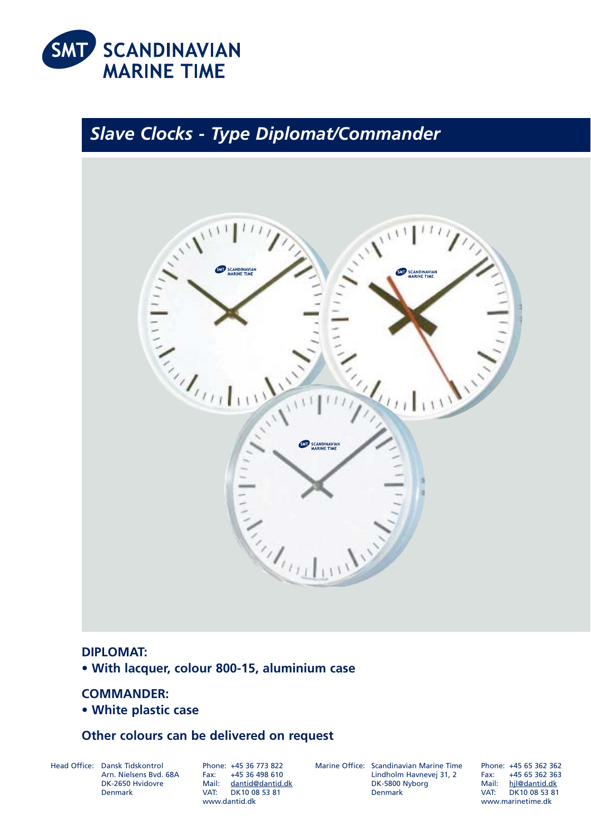

# *Slave Clocks - Type Diplomat/Commander*



## **DIPLOMAT:**

**• With lacquer, colour 800-15, aluminium case**

# **COMMANDER:**

**• White plastic case**

## **Other colours can be delivered on request**

Head Office: Dansk Tidskontrol Arn. Nielsens Bvd. 68A DK-2650 Hvidovre Denmark

Phone: +45 36 773 822 +45 36 498 610 Mail: dantid@dantid.dk VAT: DK10 08 53 81 www.dantid.dk

Marine Office: Scandinavian Marine Time Lindholm Havnevej 31, 2 DK-5800 Nyborg Denmark

Phone: +45 65 362 362 Fax: +45 65 362 363 Mail: hjl@dantid.dk VAT: DK10 08 53 81 www.marinetime.dk